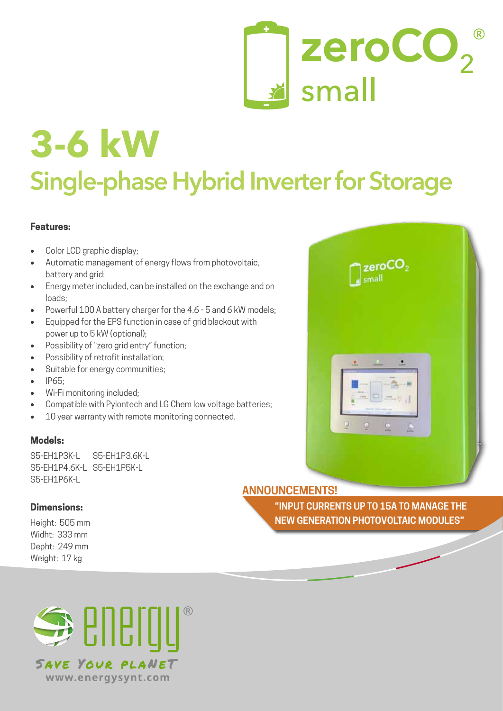

# **Single-phase Hybrid Inverter for Storage 3-6 kW**

#### **Features:**

- Color LCD graphic display;
- Automatic management of energy flows from photovoltaic, battery and grid;
- Energy meter included, can be installed on the exchange and on loads;
- Powerful 100 A battery charger for the 4.6 5 and 6 kW models:
- Equipped for the EPS function in case of grid blackout with power up to 5 kW (optional);
- Possibility of "zero grid entry" function;
- Possibility of retrofit installation:
- Suitable for energy communities;
- • IP65;
- Wi-Fi monitoring included;
- Compatible with Pylontech and LG Chem low voltage batteries;
- 10 year warranty with remote monitoring connected.

#### **Models:**

S5-FH1P3K-L S5-FH1P3.6K-L S5-FH1P4.6K-L S5-FH1P5K-L S5-FH1P6K-L

#### **Dimensions:**

Height: 505 mm Widht: 333 mm Depht: 249 mm Weight: 17 kg

## **ANNOUNCEMENTS!**

**"INPUT CURRENTS UP TO 15A TO MANAGE THE NEW GENERATION PHOTOVOLTAIC MODULES"**